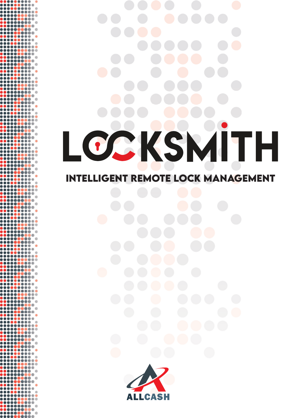## S  $\bullet$ **INTELLIGENT REMOTE LOCK MANAGEMENT**



 $\begin{smallmatrix} \textbf{101} \textbf{11} \textbf{12} \textbf{13} \textbf{13} \textbf{14} \textbf{15} \textbf{16} \textbf{16} \textbf{17} \textbf{18} \textbf{18} \textbf{18} \textbf{18} \textbf{18} \textbf{18} \textbf{18} \textbf{18} \textbf{18} \textbf{18} \textbf{18} \textbf{18} \textbf{18} \textbf{18} \textbf{18} \textbf{18} \textbf{18} \textbf{18} \textbf{18} \textbf{18} \textbf$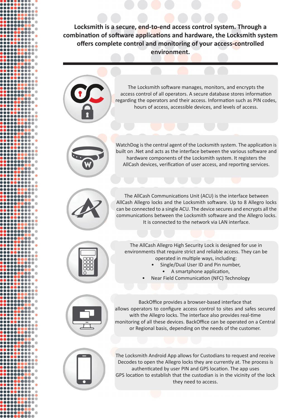**Locksmith is a secure, end-to-end access control system. Through a combination of software applications and hardware, the Locksmith system offers complete control and monitoring of your access-controlled environment.**



The Locksmith software manages, monitors, and encrypts the access control of all operators. A secure database stores information regarding the operators and their access. Information such as PIN codes, hours of access, accessible devices, and levels of access.



WatchDog is the central agent of the Locksmith system. The application is built on .Net and acts as the interface between the various software and hardware components of the Locksmith system. It registers the AllCash devices, verification of user access, and reporting services.



The AllCash Communications Unit (ACU) is the interface between AllCash Allegro locks and the Locksmith software. Up to 8 Allegro locks can be connected to a single ACU. The device secures and encrypts all the communications between the Locksmith software and the Allegro locks. It is connected to the network via LAN interface.



The AllCash Allegro High Security Lock is designed for use in environments that require strict and reliable access. They can be operated in multiple ways, including:

- Single/Dual User ID and Pin number,
	- A smartphone application,
- Near Field Communication (NFC) Technology



BackOffice provides a browser-based interface that allows operators to configure access control to sites and safes secured with the Allegro locks. The interface also provides real-time monitoring of all these devices. BackOffice can be operated on a Central or Regional basis, depending on the needs of the customer.



The Locksmith Android App allows for Custodians to request and receive Decodes to open the Allegro locks they are currently at. The process is authenticated by user PIN and GPS location. The app uses GPS location to establish that the custodian is in the vicinity of the lock they need to access.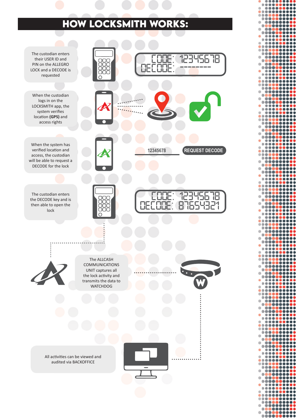## **HOW LOCKSMITH WORKS:**

........

Ŏ ......... ŎŎ Ō .......

8888

..... ....... ....... **OO** ......... .....

š .......

 $\bullet$ ......... ..... ........ ..

.... ........ ŏ  $\bullet\bullet\bullet$ .......

ŏ ŏ ŏ .........

......... 000000 **00000** 

100

........

Ō ---------...... ---------.......

....... .. **....** 

......... 88888

........

..... --------.... ........ Ŏ

...

....

*<u>AAAA</u>* 

ă ă. .........

ōŏ

āē **AAA** 

ĕ ŏ Ō .......  $\begin{array}{ccccc}\n\bullet & \bullet & \bullet & \bullet\n\end{array}$ ........

ŏ ....

ŏ  $\bullet\bullet$ .........

ĎŎ

ŏ

ŏ

ŏ

Ŏ

ŏ

8888**8** ....

 $\bullet$ ......... ........ ......... ...... ...... .....

*<u>....</u>*  $\bullet\bullet\bullet$ ........ -------

**AAAA** 

.... ........ 00000000 ....... **Little** 

ŏĕ  $\begin{array}{ccccc}\n\bullet & \bullet & \bullet & \bullet & \bullet\n\end{array}$ ........ .... ........ ..... .........

**DOO**  $\bullet\bullet\bullet$ ... .... ........

.... . . .

**OOO** ....... 000000000 ........ .......... 000000000

 $\bullet$ 

Ò

.... ..... ...... .....

00000000

.........

**000** 

......... ...

> .... 0000

**ATE** 

...

 $\bullet\bullet$ 

 $\bullet$ 

**....**